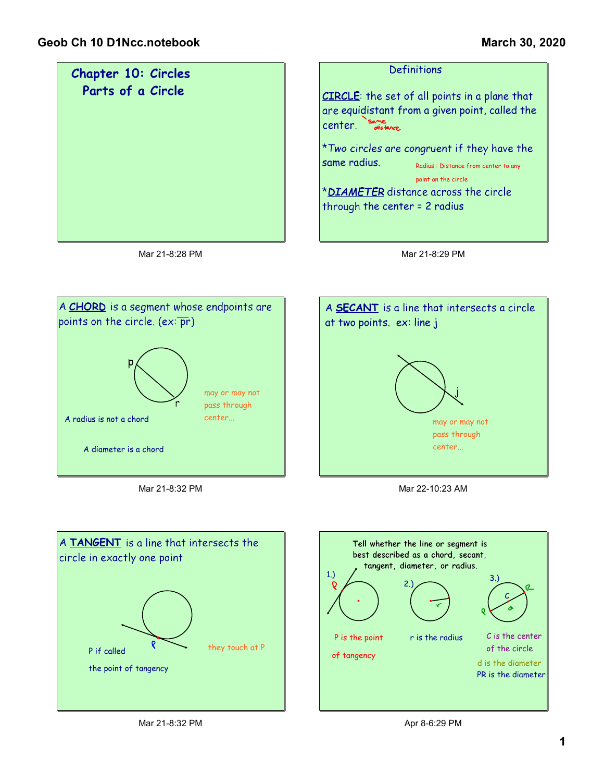



Mar 21-8:32 PM







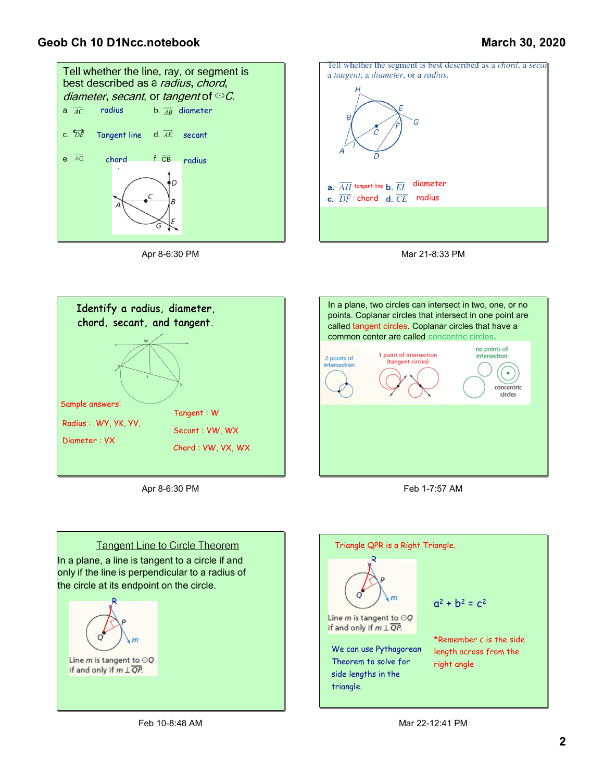## Geob Ch 10 D1Ncc.notebook

## March 30, 2020



Apr 8-6:30 PM







Apr 8-6:30 PM